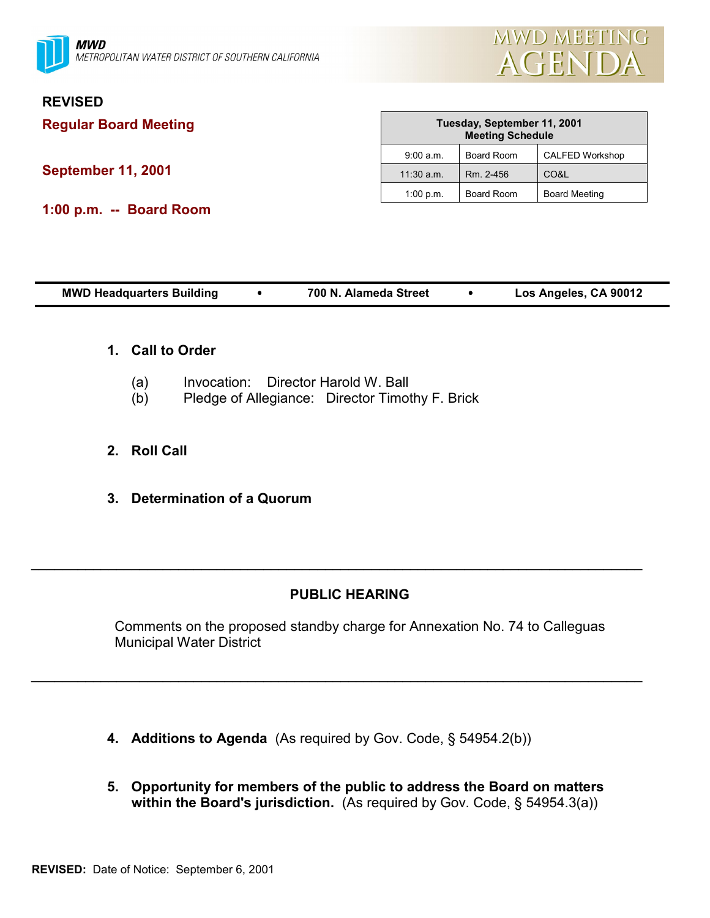

# **REVISED**

**Regular Board Meeting**

**September 11, 2001**

**1:00 p.m. -- Board Room**

| Tuesday, September 11, 2001<br><b>Meeting Schedule</b> |                   |                        |
|--------------------------------------------------------|-------------------|------------------------|
| 9:00 a.m.                                              | <b>Board Room</b> | <b>CALFED Workshop</b> |
| $11:30$ a.m.                                           | Rm. 2-456         | CO&L                   |
| 1:00 p.m.                                              | Board Room        | <b>Board Meeting</b>   |

| <b>MWD Headquarters Building</b> | 700 N. Alameda Street |  | Los Angeles, CA 90012 |
|----------------------------------|-----------------------|--|-----------------------|
|----------------------------------|-----------------------|--|-----------------------|

- **1. Call to Order**
	- (a) Invocation: Director Harold W. Ball
	- (b) Pledge of Allegiance: Director Timothy F. Brick
- **2. Roll Call**
- **3. Determination of a Quorum**

# **PUBLIC HEARING**

 $\_$ 

 $\_$ 

Comments on the proposed standby charge for Annexation No. 74 to Calleguas Municipal Water District

- **4. Additions to Agenda** (As required by Gov. Code, ß 54954.2(b))
- **5. Opportunity for members of the public to address the Board on matters** within the Board's jurisdiction. (As required by Gov. Code, § 54954.3(a))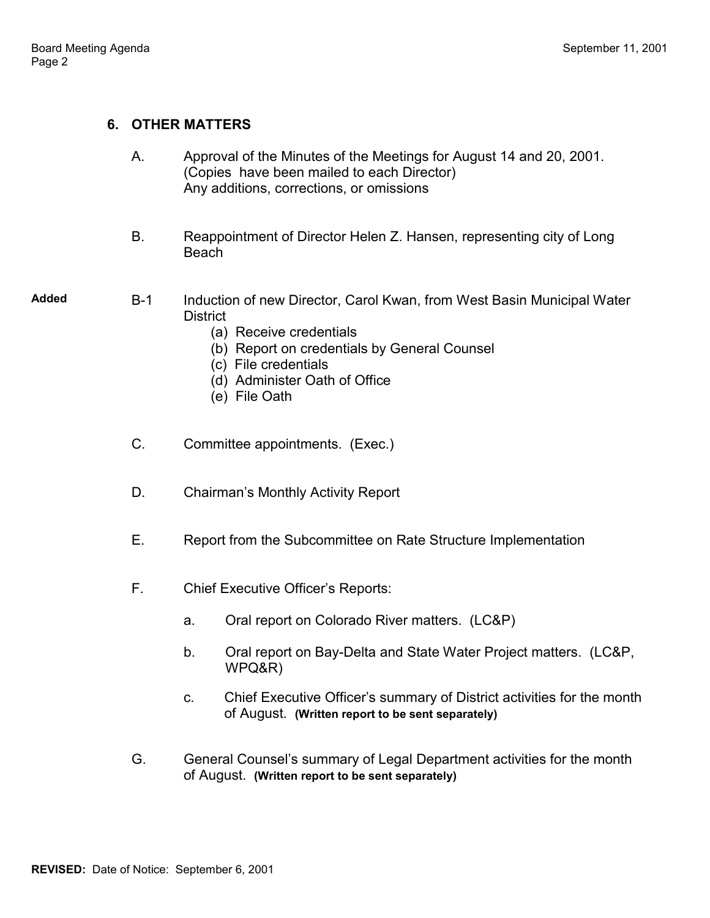#### **6. OTHER MATTERS**

| Α. | Approval of the Minutes of the Meetings for August 14 and 20, 2001. |  |  |
|----|---------------------------------------------------------------------|--|--|
|    | (Copies have been mailed to each Director)                          |  |  |
|    | Any additions, corrections, or omissions                            |  |  |

B. Reappointment of Director Helen Z. Hansen, representing city of Long Beach

**Added** B-1 Induction of new Director, Carol Kwan, from West Basin Municipal Water District

- (a) Receive credentials
- (b) Report on credentials by General Counsel
- (c) File credentials
- (d) Administer Oath of Office
- (e) File Oath
- C. Committee appointments. (Exec.)
- D. Chairman's Monthly Activity Report
- E. Report from the Subcommittee on Rate Structure Implementation
- F. Chief Executive Officer's Reports:
	- a. Oral report on Colorado River matters. (LC&P)
	- b. Oral report on Bay-Delta and State Water Project matters. (LC&P, WPQ&R)
	- c. Chief Executive Officerís summary of District activities for the month of August. **(Written report to be sent separately)**
- G. General Counsel's summary of Legal Department activities for the month of August. **(Written report to be sent separately)**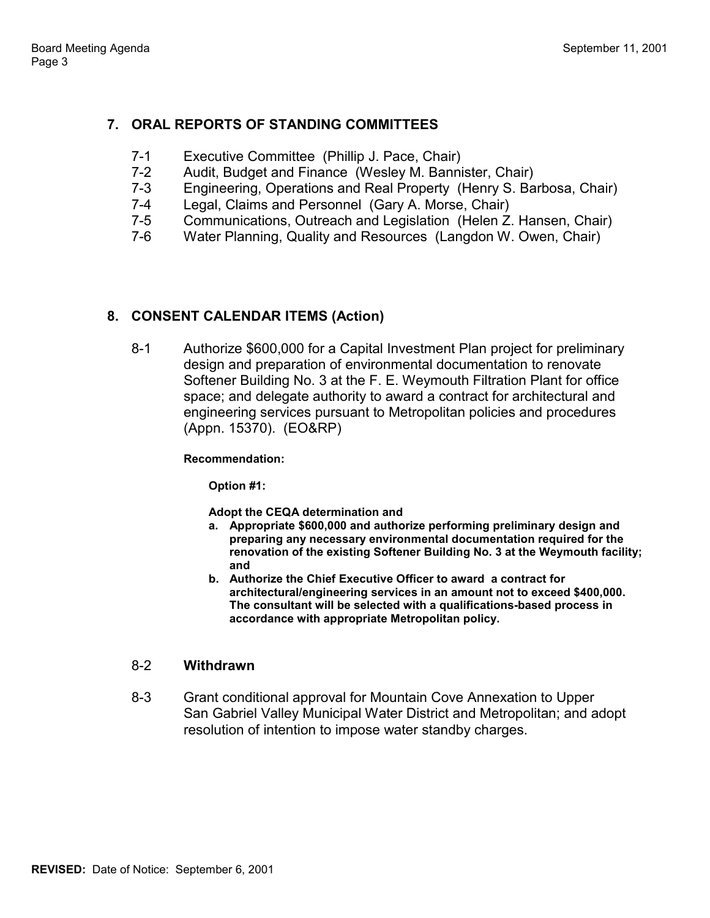## **7. ORAL REPORTS OF STANDING COMMITTEES**

- 7-1 Executive Committee (Phillip J. Pace, Chair)
- 7-2 Audit, Budget and Finance (Wesley M. Bannister, Chair)
- 7-3 Engineering, Operations and Real Property (Henry S. Barbosa, Chair)
- 7-4 Legal, Claims and Personnel (Gary A. Morse, Chair)
- 7-5 Communications, Outreach and Legislation (Helen Z. Hansen, Chair)
- 7-6 Water Planning, Quality and Resources (Langdon W. Owen, Chair)

## **8. CONSENT CALENDAR ITEMS (Action)**

8-1 Authorize \$600,000 for a Capital Investment Plan project for preliminary design and preparation of environmental documentation to renovate Softener Building No. 3 at the F. E. Weymouth Filtration Plant for office space; and delegate authority to award a contract for architectural and engineering services pursuant to Metropolitan policies and procedures (Appn. 15370). (EO&RP)

**Recommendation:**

**Option #1:**

**Adopt the CEQA determination and**

- **a. Appropriate \$600,000 and authorize performing preliminary design and preparing any necessary environmental documentation required for the renovation of the existing Softener Building No. 3 at the Weymouth facility; and**
- **b. Authorize the Chief Executive Officer to award a contract for architectural/engineering services in an amount not to exceed \$400,000. The consultant will be selected with a qualifications-based process in accordance with appropriate Metropolitan policy.**

### 8-2 **Withdrawn**

8-3 Grant conditional approval for Mountain Cove Annexation to Upper San Gabriel Valley Municipal Water District and Metropolitan; and adopt resolution of intention to impose water standby charges.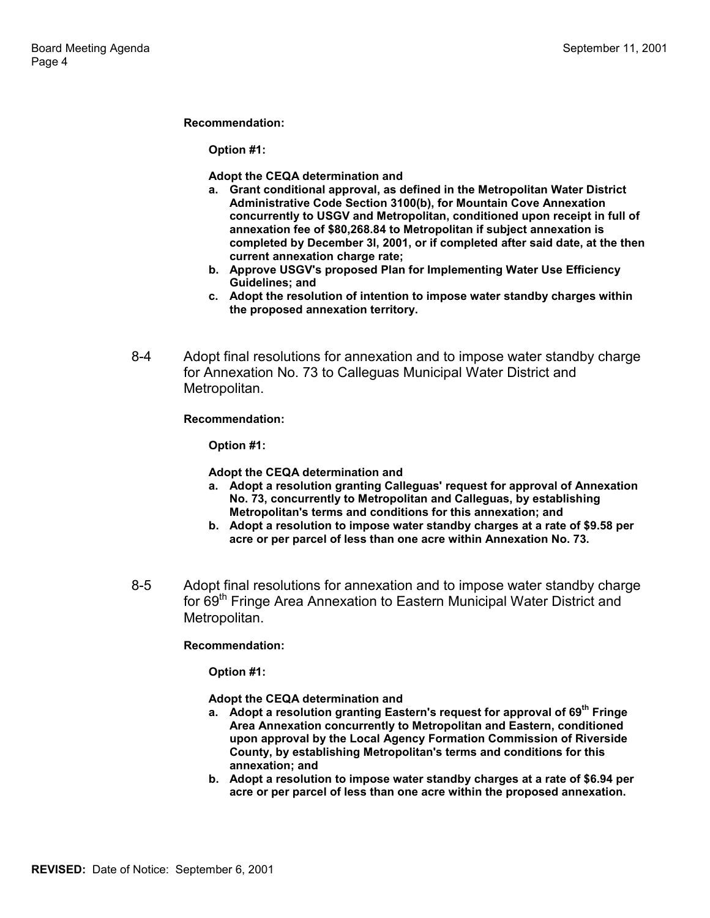#### **Recommendation:**

**Option #1:**

**Adopt the CEQA determination and**

- **a. Grant conditional approval, as defined in the Metropolitan Water District Administrative Code Section 3100(b), for Mountain Cove Annexation concurrently to USGV and Metropolitan, conditioned upon receipt in full of annexation fee of \$80,268.84 to Metropolitan if subject annexation is completed by December 3l, 2001, or if completed after said date, at the then current annexation charge rate;**
- **b. Approve USGV's proposed Plan for Implementing Water Use Efficiency Guidelines; and**
- **c. Adopt the resolution of intention to impose water standby charges within the proposed annexation territory.**
- 8-4 Adopt final resolutions for annexation and to impose water standby charge for Annexation No. 73 to Calleguas Municipal Water District and Metropolitan.

**Recommendation:**

**Option #1:**

**Adopt the CEQA determination and**

- **a. Adopt a resolution granting Calleguas' request for approval of Annexation No. 73, concurrently to Metropolitan and Calleguas, by establishing Metropolitan's terms and conditions for this annexation; and**
- **b. Adopt a resolution to impose water standby charges at a rate of \$9.58 per acre or per parcel of less than one acre within Annexation No. 73.**
- 8-5 Adopt final resolutions for annexation and to impose water standby charge for 69<sup>th</sup> Fringe Area Annexation to Eastern Municipal Water District and Metropolitan.

**Recommendation:**

**Option #1:**

**Adopt the CEQA determination and**

- **a. Adopt a resolution granting Eastern's request for approval of 69th Fringe Area Annexation concurrently to Metropolitan and Eastern, conditioned upon approval by the Local Agency Formation Commission of Riverside County, by establishing Metropolitan's terms and conditions for this annexation; and**
- **b. Adopt a resolution to impose water standby charges at a rate of \$6.94 per acre or per parcel of less than one acre within the proposed annexation.**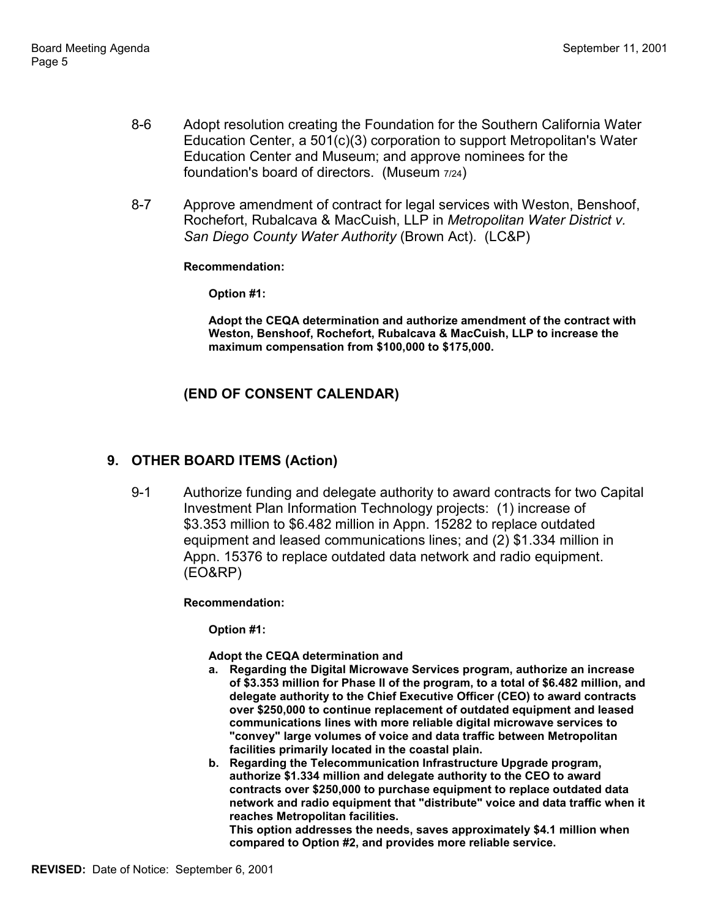- 8-6 Adopt resolution creating the Foundation for the Southern California Water Education Center, a 501(c)(3) corporation to support Metropolitan's Water Education Center and Museum; and approve nominees for the foundation's board of directors. (Museum 7/24)
- 8-7 Approve amendment of contract for legal services with Weston, Benshoof, Rochefort, Rubalcava & MacCuish, LLP in *Metropolitan Water District v. San Diego County Water Authority* (Brown Act). (LC&P)

#### **Recommendation:**

**Option #1:**

**Adopt the CEQA determination and authorize amendment of the contract with Weston, Benshoof, Rochefort, Rubalcava & MacCuish, LLP to increase the maximum compensation from \$100,000 to \$175,000.**

### **(END OF CONSENT CALENDAR)**

### **9. OTHER BOARD ITEMS (Action)**

9-1 Authorize funding and delegate authority to award contracts for two Capital Investment Plan Information Technology projects: (1) increase of \$3.353 million to \$6.482 million in Appn. 15282 to replace outdated equipment and leased communications lines; and (2) \$1.334 million in Appn. 15376 to replace outdated data network and radio equipment. (EO&RP)

#### **Recommendation:**

**Option #1:**

#### **Adopt the CEQA determination and**

- **a. Regarding the Digital Microwave Services program, authorize an increase of \$3.353 million for Phase II of the program, to a total of \$6.482 million, and delegate authority to the Chief Executive Officer (CEO) to award contracts over \$250,000 to continue replacement of outdated equipment and leased communications lines with more reliable digital microwave services to "convey" large volumes of voice and data traffic between Metropolitan facilities primarily located in the coastal plain.**
- **b. Regarding the Telecommunication Infrastructure Upgrade program, authorize \$1.334 million and delegate authority to the CEO to award contracts over \$250,000 to purchase equipment to replace outdated data network and radio equipment that "distribute" voice and data traffic when it reaches Metropolitan facilities.**

**This option addresses the needs, saves approximately \$4.1 million when compared to Option #2, and provides more reliable service.**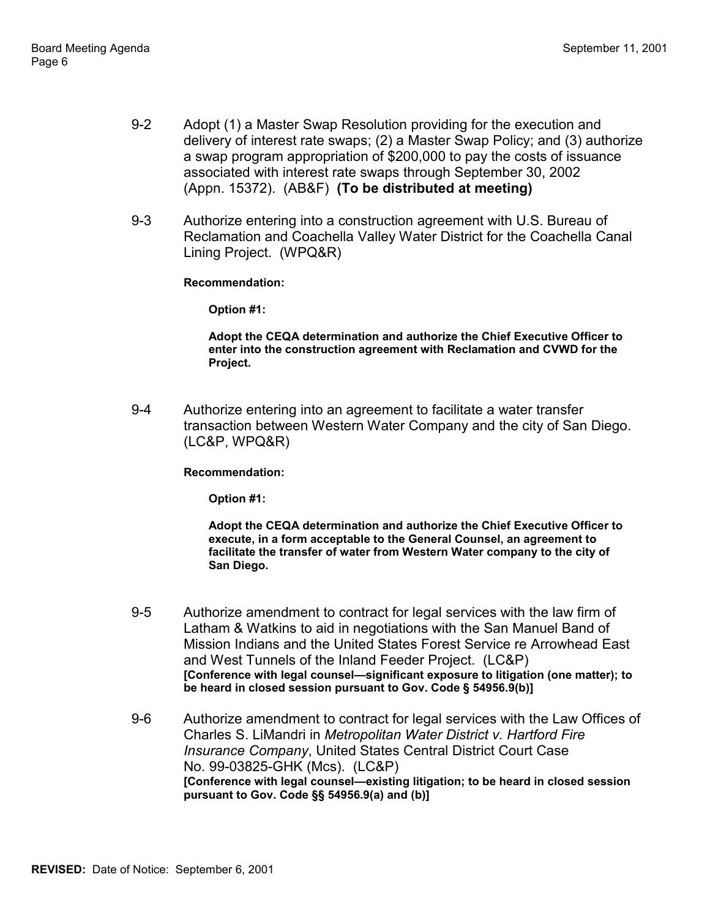- 9-2 Adopt (1) a Master Swap Resolution providing for the execution and delivery of interest rate swaps; (2) a Master Swap Policy; and (3) authorize a swap program appropriation of \$200,000 to pay the costs of issuance associated with interest rate swaps through September 30, 2002 (Appn. 15372). (AB&F) **(To be distributed at meeting)**
- 9-3 Authorize entering into a construction agreement with U.S. Bureau of Reclamation and Coachella Valley Water District for the Coachella Canal Lining Project. (WPQ&R)

**Recommendation:**

**Option #1:**

**Adopt the CEQA determination and authorize the Chief Executive Officer to enter into the construction agreement with Reclamation and CVWD for the Project.**

9-4 Authorize entering into an agreement to facilitate a water transfer transaction between Western Water Company and the city of San Diego. (LC&P, WPQ&R)

**Recommendation:**

**Option #1:**

**Adopt the CEQA determination and authorize the Chief Executive Officer to execute, in a form acceptable to the General Counsel, an agreement to facilitate the transfer of water from Western Water company to the city of San Diego.**

- 9-5 Authorize amendment to contract for legal services with the law firm of Latham & Watkins to aid in negotiations with the San Manuel Band of Mission Indians and the United States Forest Service re Arrowhead East and West Tunnels of the Inland Feeder Project. (LC&P) [Conference with legal counsel—significant exposure to litigation (one matter); to **be heard in closed session pursuant to Gov. Code ß 54956.9(b)]**
- 9-6 Authorize amendment to contract for legal services with the Law Offices of Charles S. LiMandri in *Metropolitan Water District v. Hartford Fire Insurance Company*, United States Central District Court Case No. 99-03825-GHK (Mcs). (LC&P) [Conference with legal counsel-existing litigation; to be heard in closed session **pursuant to Gov. Code ßß 54956.9(a) and (b)]**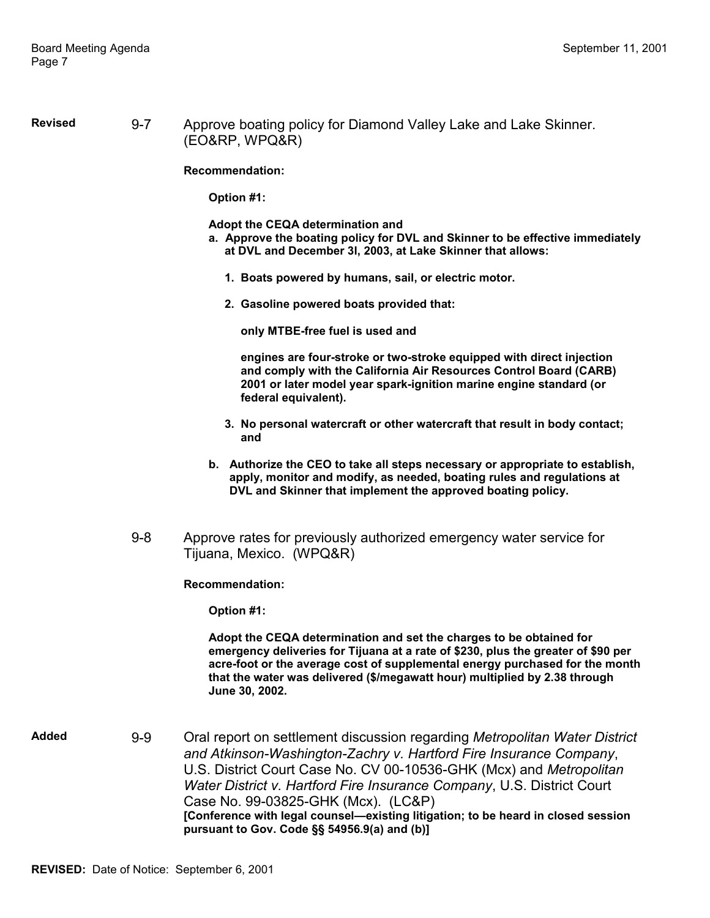**Revised** 9-7 Approve boating policy for Diamond Valley Lake and Lake Skinner. (EO&RP, WPQ&R)

**Recommendation:**

**Option #1:**

**Adopt the CEQA determination and**

- **a. Approve the boating policy for DVL and Skinner to be effective immediately at DVL and December 3l, 2003, at Lake Skinner that allows:**
	- **1. Boats powered by humans, sail, or electric motor.**
	- **2. Gasoline powered boats provided that:**

 **only MTBE-free fuel is used and**

 **engines are four-stroke or two-stroke equipped with direct injection and comply with the California Air Resources Control Board (CARB) 2001 or later model year spark-ignition marine engine standard (or federal equivalent).**

- **3. No personal watercraft or other watercraft that result in body contact; and**
- **b. Authorize the CEO to take all steps necessary or appropriate to establish, apply, monitor and modify, as needed, boating rules and regulations at DVL and Skinner that implement the approved boating policy.**
- 9-8 Approve rates for previously authorized emergency water service for Tijuana, Mexico. (WPQ&R)

**Recommendation:**

**Option #1:**

**Adopt the CEQA determination and set the charges to be obtained for emergency deliveries for Tijuana at a rate of \$230, plus the greater of \$90 per acre-foot or the average cost of supplemental energy purchased for the month that the water was delivered (\$/megawatt hour) multiplied by 2.38 through June 30, 2002.**

**Added** 9-9 Oral report on settlement discussion regarding *Metropolitan Water District and Atkinson-Washington-Zachry v. Hartford Fire Insurance Company*, U.S. District Court Case No. CV 00-10536-GHK (Mcx) and *Metropolitan Water District v. Hartford Fire Insurance Company*, U.S. District Court Case No. 99-03825-GHK (Mcx). (LC&P) **[Conference with legal counsel—existing litigation; to be heard in closed session pursuant to Gov. Code ßß 54956.9(a) and (b)]**